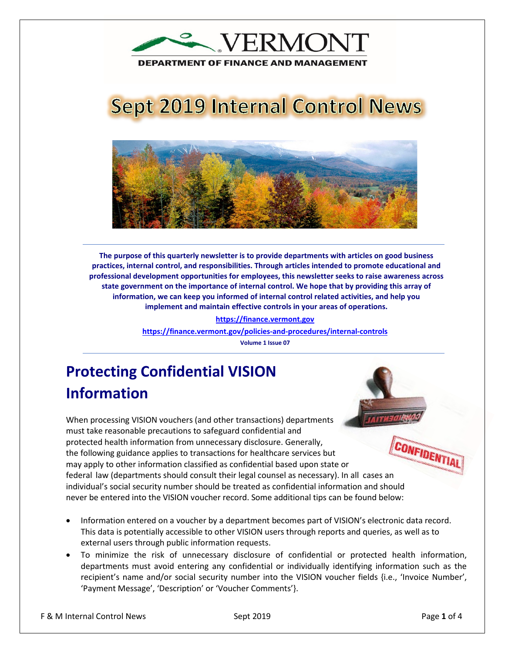

**DEPARTMENT OF FINANCE AND MANAGEMENT** 

# **Sept 2019 Internal Control News**



**The purpose of this quarterly newsletter is to provide departments with articles on good business practices, internal control, and responsibilities. Through articles intended to promote educational and professional development opportunities for employees, this newsletter seeks to raise awareness across state government on the importance of internal control. We hope that by providing this array of information, we can keep you informed of internal control related activities, and help you implement and maintain effective controls in your areas of operations.**

**https://finance.vermont.gov**

**<https://finance.vermont.gov/policies-and-procedures/internal-controls>**

**Volume 1 Issue 07**

## **Protecting Confidential VISION Information**

When processing VISION vouchers (and other transactions) departments must take reasonable precautions to safeguard confidential and CONFIDENTIAL protected health information from unnecessary disclosure. Generally, the following guidance applies to transactions for healthcare services but may apply to other information classified as confidential based upon state or federal law (departments should consult their legal counsel as necessary). In all cases an individual's social security number should be treated as confidential information and should never be entered into the VISION voucher record. Some additional tips can be found below:

- Information entered on a voucher by a department becomes part of VISION's electronic data record. This data is potentially accessible to other VISION users through reports and queries, as well as to external users through public information requests.
- To minimize the risk of unnecessary disclosure of confidential or protected health information, departments must avoid entering any confidential or individually identifying information such as the recipient's name and/or social security number into the VISION voucher fields {i.e., 'Invoice Number', 'Payment Message', 'Description' or 'Voucher Comments'}.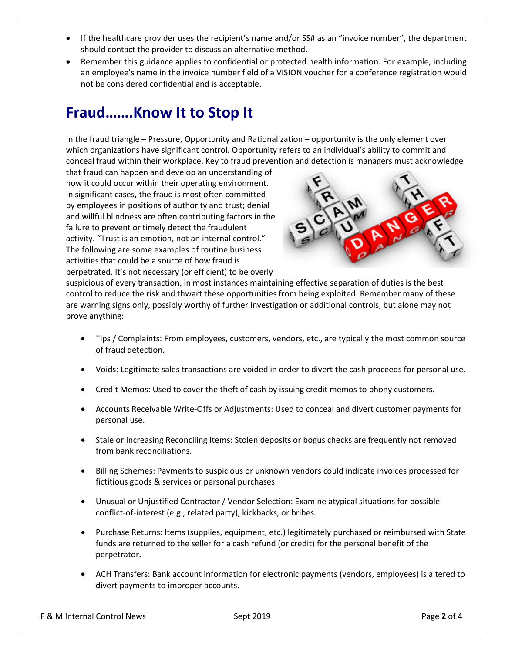- If the healthcare provider uses the recipient's name and/or SS# as an "invoice number", the department should contact the provider to discuss an alternative method.
- Remember this guidance applies to confidential or protected health information. For example, including an employee's name in the invoice number field of a VISION voucher for a conference registration would not be considered confidential and is acceptable.

## **Fraud…….Know It to Stop It**

In the fraud triangle – Pressure, Opportunity and Rationalization – opportunity is the only element over which organizations have significant control. Opportunity refers to an individual's ability to commit and conceal fraud within their workplace. Key to fraud prevention and detection is managers must acknowledge

that fraud can happen and develop an understanding of how it could occur within their operating environment. In significant cases, the fraud is most often committed by employees in positions of authority and trust; denial and willful blindness are often contributing factors in the failure to prevent or timely detect the fraudulent activity. "Trust is an emotion, not an internal control." The following are some examples of routine business activities that could be a source of how fraud is perpetrated. It's not necessary (or efficient) to be overly



suspicious of every transaction, in most instances maintaining effective separation of duties is the best control to reduce the risk and thwart these opportunities from being exploited. Remember many of these are warning signs only, possibly worthy of further investigation or additional controls, but alone may not prove anything:

- Tips / Complaints: From employees, customers, vendors, etc., are typically the most common source of fraud detection.
- Voids: Legitimate sales transactions are voided in order to divert the cash proceeds for personal use.
- Credit Memos: Used to cover the theft of cash by issuing credit memos to phony customers.
- Accounts Receivable Write-Offs or Adjustments: Used to conceal and divert customer payments for personal use.
- Stale or Increasing Reconciling Items: Stolen deposits or bogus checks are frequently not removed from bank reconciliations.
- Billing Schemes: Payments to suspicious or unknown vendors could indicate invoices processed for fictitious goods & services or personal purchases.
- Unusual or Unjustified Contractor / Vendor Selection: Examine atypical situations for possible conflict-of-interest (e.g., related party), kickbacks, or bribes.
- Purchase Returns: Items (supplies, equipment, etc.) legitimately purchased or reimbursed with State funds are returned to the seller for a cash refund (or credit) for the personal benefit of the perpetrator.
- ACH Transfers: Bank account information for electronic payments (vendors, employees) is altered to divert payments to improper accounts.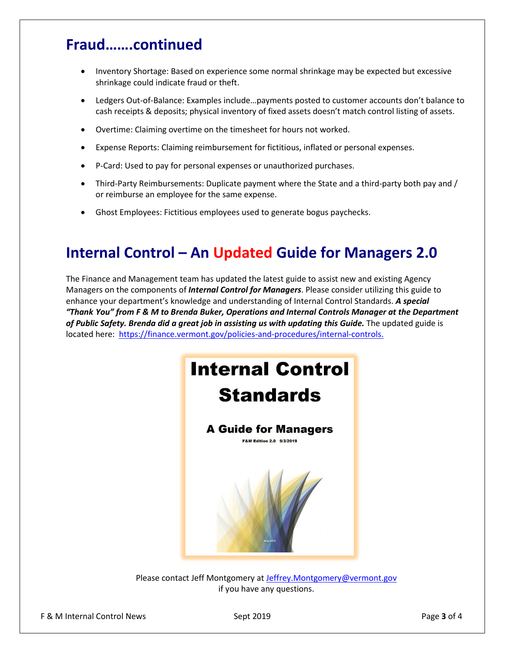## **Fraud…….continued**

- Inventory Shortage: Based on experience some normal shrinkage may be expected but excessive shrinkage could indicate fraud or theft.
- Ledgers Out-of-Balance: Examples include…payments posted to customer accounts don't balance to cash receipts & deposits; physical inventory of fixed assets doesn't match control listing of assets.
- Overtime: Claiming overtime on the timesheet for hours not worked.
- Expense Reports: Claiming reimbursement for fictitious, inflated or personal expenses.
- P-Card: Used to pay for personal expenses or unauthorized purchases.
- Third-Party Reimbursements: Duplicate payment where the State and a third-party both pay and / or reimburse an employee for the same expense.
- Ghost Employees: Fictitious employees used to generate bogus paychecks.

## **Internal Control – An Updated Guide for Managers 2.0**

The Finance and Management team has updated the latest guide to assist new and existing Agency Managers on the components of *Internal Control for Managers*. Please consider utilizing this guide to enhance your department's knowledge and understanding of Internal Control Standards. *A special "Thank You" from F & M to Brenda Buker, Operations and Internal Controls Manager at the Department of Public Safety. Brenda did a great job in assisting us with updating this Guide.* The updated guide is located here: [https://finance.vermont.gov/policies-and-procedures/internal-controls.](https://finance.vermont.gov/policies-and-procedures/internal-controls)



Please contact Jeff Montgomery at [Jeffrey.Montgomery@vermont.gov](mailto:Jeffrey.Montgomery@vermont.gov) if you have any questions.